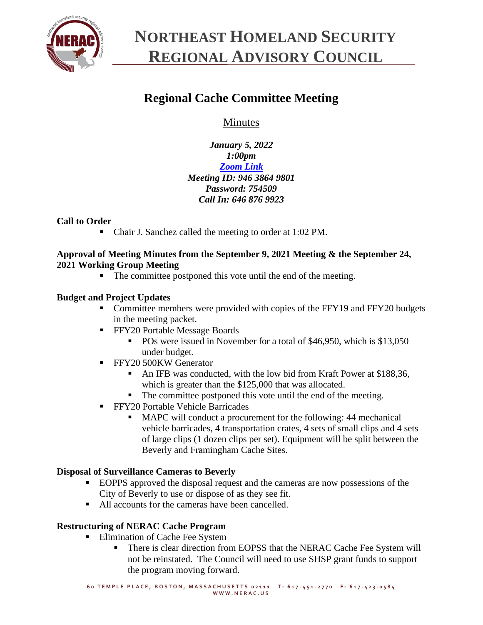

# **NORTHEAST HOMELAND SECURITY REGIONAL ADVISORY COUNCIL**

# **Regional Cache Committee Meeting**

Minutes

*January 5, 2022 1:00pm [Zoom Link](https://zoom.us/j/94638649801?pwd=cFhSMGRyaXJyTmtsQU5tS2lQdmR2QT09) Meeting ID: 946 3864 9801 Password: 754509 Call In: 646 876 9923*

## **Call to Order**

■ Chair J. Sanchez called the meeting to order at 1:02 PM.

#### **Approval of Meeting Minutes from the September 9, 2021 Meeting & the September 24, 2021 Working Group Meeting**

■ The committee postponed this vote until the end of the meeting.

## **Budget and Project Updates**

- Committee members were provided with copies of the FFY19 and FFY20 budgets in the meeting packet.
- **FFY20 Portable Message Boards** 
	- POs were issued in November for a total of \$46,950, which is \$13,050 under budget.
- **FFY20 500KW Generator** 
	- An IFB was conducted, with the low bid from Kraft Power at \$188,36, which is greater than the \$125,000 that was allocated.
	- The committee postponed this vote until the end of the meeting.
- **EFY20 Portable Vehicle Barricades** 
	- MAPC will conduct a procurement for the following: 44 mechanical vehicle barricades, 4 transportation crates, 4 sets of small clips and 4 sets of large clips (1 dozen clips per set). Equipment will be split between the Beverly and Framingham Cache Sites.

#### **Disposal of Surveillance Cameras to Beverly**

- EOPPS approved the disposal request and the cameras are now possessions of the City of Beverly to use or dispose of as they see fit.
- All accounts for the cameras have been cancelled.

#### **Restructuring of NERAC Cache Program**

- **Elimination of Cache Fee System** 
	- **There is clear direction from EOPSS that the NERAC Cache Fee System will** not be reinstated. The Council will need to use SHSP grant funds to support the program moving forward.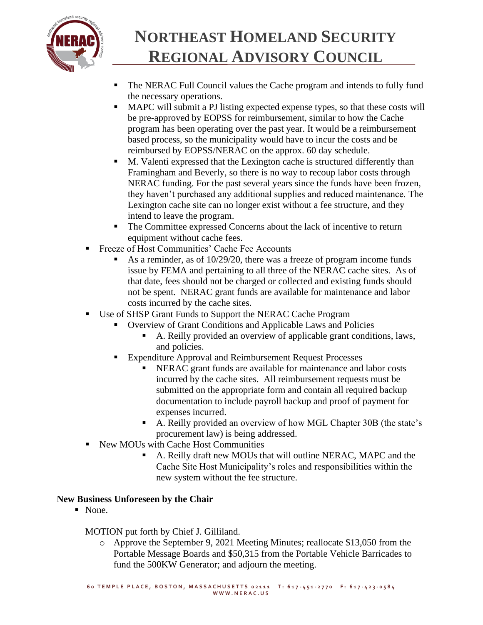

# **NORTHEAST HOMELAND SECURITY REGIONAL ADVISORY COUNCIL**

- The NERAC Full Council values the Cache program and intends to fully fund the necessary operations.
- MAPC will submit a PJ listing expected expense types, so that these costs will be pre-approved by EOPSS for reimbursement, similar to how the Cache program has been operating over the past year. It would be a reimbursement based process, so the municipality would have to incur the costs and be reimbursed by EOPSS/NERAC on the approx. 60 day schedule.
- M. Valenti expressed that the Lexington cache is structured differently than Framingham and Beverly, so there is no way to recoup labor costs through NERAC funding. For the past several years since the funds have been frozen, they haven't purchased any additional supplies and reduced maintenance. The Lexington cache site can no longer exist without a fee structure, and they intend to leave the program.
- The Committee expressed Concerns about the lack of incentive to return equipment without cache fees.
- Freeze of Host Communities' Cache Fee Accounts
	- As a reminder, as of  $10/29/20$ , there was a freeze of program income funds issue by FEMA and pertaining to all three of the NERAC cache sites. As of that date, fees should not be charged or collected and existing funds should not be spent. NERAC grant funds are available for maintenance and labor costs incurred by the cache sites.
- Use of SHSP Grant Funds to Support the NERAC Cache Program
	- Overview of Grant Conditions and Applicable Laws and Policies
		- A. Reilly provided an overview of applicable grant conditions, laws, and policies.
	- Expenditure Approval and Reimbursement Request Processes
		- NERAC grant funds are available for maintenance and labor costs incurred by the cache sites. All reimbursement requests must be submitted on the appropriate form and contain all required backup documentation to include payroll backup and proof of payment for expenses incurred.
		- A. Reilly provided an overview of how MGL Chapter 30B (the state's procurement law) is being addressed.
- New MOUs with Cache Host Communities
	- A. Reilly draft new MOUs that will outline NERAC, MAPC and the Cache Site Host Municipality's roles and responsibilities within the new system without the fee structure.

## **New Business Unforeseen by the Chair**

■ None.

## MOTION put forth by Chief J. Gilliland.

o Approve the September 9, 2021 Meeting Minutes; reallocate \$13,050 from the Portable Message Boards and \$50,315 from the Portable Vehicle Barricades to fund the 500KW Generator; and adjourn the meeting.